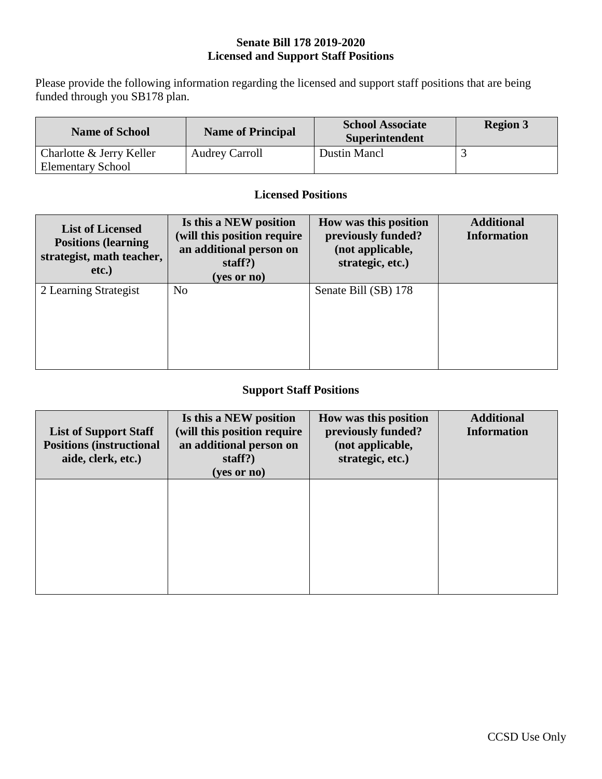#### **Senate Bill 178 2019-2020 Licensed and Support Staff Positions**

Please provide the following information regarding the licensed and support staff positions that are being funded through you SB178 plan.

| <b>Name of School</b>    | <b>Name of Principal</b> | <b>School Associate</b><br>Superintendent | <b>Region 3</b> |
|--------------------------|--------------------------|-------------------------------------------|-----------------|
| Charlotte & Jerry Keller | <b>Audrey Carroll</b>    | Dustin Mancl                              |                 |
| <b>Elementary School</b> |                          |                                           |                 |

#### **Licensed Positions**

| <b>List of Licensed</b><br><b>Positions (learning)</b><br>strategist, math teacher,<br>$etc.$ ) | Is this a NEW position<br>(will this position require)<br>an additional person on<br>staff? $)$<br>(yes or no) | How was this position<br>previously funded?<br>(not applicable,<br>strategic, etc.) | <b>Additional</b><br><b>Information</b> |
|-------------------------------------------------------------------------------------------------|----------------------------------------------------------------------------------------------------------------|-------------------------------------------------------------------------------------|-----------------------------------------|
| 2 Learning Strategist                                                                           | N <sub>o</sub>                                                                                                 | Senate Bill (SB) 178                                                                |                                         |

#### **Support Staff Positions**

| <b>List of Support Staff</b><br><b>Positions (instructional</b><br>aide, clerk, etc.) | Is this a NEW position<br>(will this position require<br>an additional person on<br>staff? $)$<br>(yes or no) | How was this position<br>previously funded?<br>(not applicable,<br>strategic, etc.) | <b>Additional</b><br><b>Information</b> |
|---------------------------------------------------------------------------------------|---------------------------------------------------------------------------------------------------------------|-------------------------------------------------------------------------------------|-----------------------------------------|
|                                                                                       |                                                                                                               |                                                                                     |                                         |
|                                                                                       |                                                                                                               |                                                                                     |                                         |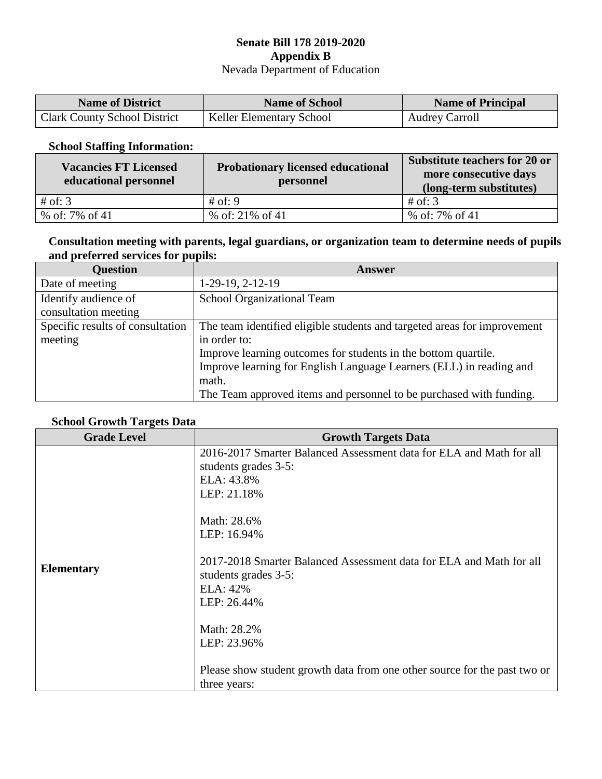#### **Senate Bill 178 2019-2020 Appendix B** Nevada Department of Education

| <b>Name of District</b>             | <b>Name of School</b>           | <b>Name of Principal</b> |
|-------------------------------------|---------------------------------|--------------------------|
| <b>Clark County School District</b> | <b>Keller Elementary School</b> | <b>Audrey Carroll</b>    |

#### **School Staffing Information:**

| <b>Vacancies FT Licensed</b><br>educational personnel | <b>Probationary licensed educational</b><br>personnel | Substitute teachers for 20 or<br>more consecutive days<br>(long-term substitutes) |
|-------------------------------------------------------|-------------------------------------------------------|-----------------------------------------------------------------------------------|
| # of: $3$                                             | # of: 9                                               | # of: $3$                                                                         |
| % of: 7% of 41                                        | % of: $21\%$ of 41                                    | % of: 7% of 41                                                                    |

### **Consultation meeting with parents, legal guardians, or organization team to determine needs of pupils and preferred services for pupils:**

| <b>Ouestion</b>                  | Answer                                                                   |
|----------------------------------|--------------------------------------------------------------------------|
| Date of meeting                  | $1-29-19, 2-12-19$                                                       |
| Identify audience of             | <b>School Organizational Team</b>                                        |
| consultation meeting             |                                                                          |
| Specific results of consultation | The team identified eligible students and targeted areas for improvement |
| meeting                          | in order to:                                                             |
|                                  | Improve learning outcomes for students in the bottom quartile.           |
|                                  | Improve learning for English Language Learners (ELL) in reading and      |
|                                  | math.                                                                    |
|                                  | The Team approved items and personnel to be purchased with funding.      |

#### **School Growth Targets Data**

| <b>Grade Level</b> | <b>Growth Targets Data</b>                                                                                                                                                                                                                                                                                                                                                                  |  |  |
|--------------------|---------------------------------------------------------------------------------------------------------------------------------------------------------------------------------------------------------------------------------------------------------------------------------------------------------------------------------------------------------------------------------------------|--|--|
| <b>Elementary</b>  | 2016-2017 Smarter Balanced Assessment data for ELA and Math for all<br>students grades 3-5:<br>ELA: 43.8%<br>LEP: 21.18%<br>Math: 28.6%<br>LEP: 16.94%<br>2017-2018 Smarter Balanced Assessment data for ELA and Math for all<br>students grades 3-5:<br>ELA: 42%<br>LEP: 26.44%<br>Math: 28.2%<br>LEP: 23.96%<br>Please show student growth data from one other source for the past two or |  |  |
|                    | three years:                                                                                                                                                                                                                                                                                                                                                                                |  |  |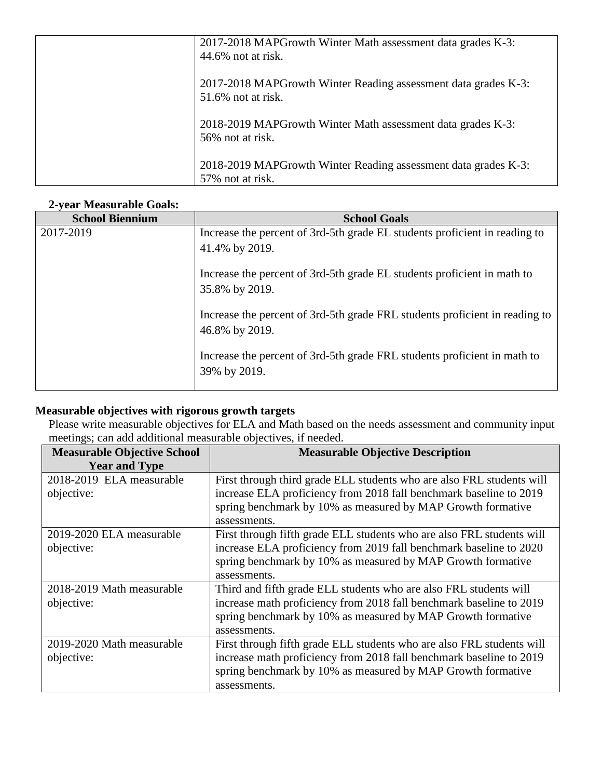| 2017-2018 MAPGrowth Winter Math assessment data grades K-3:                        |
|------------------------------------------------------------------------------------|
| $44.6\%$ not at risk.                                                              |
| 2017-2018 MAPGrowth Winter Reading assessment data grades K-3:                     |
| $51.6\%$ not at risk.                                                              |
|                                                                                    |
| 2018-2019 MAPGrowth Winter Math assessment data grades K-3:                        |
| 56% not at risk.                                                                   |
|                                                                                    |
| 2018-2019 MAPGrowth Winter Reading assessment data grades K-3:<br>57% not at risk. |
|                                                                                    |

## **2-year Measurable Goals:**

| <b>School Biennium</b> | <b>School Goals</b>                                                                           |
|------------------------|-----------------------------------------------------------------------------------------------|
| 2017-2019              | Increase the percent of 3rd-5th grade EL students proficient in reading to                    |
|                        | 41.4% by 2019.                                                                                |
|                        | Increase the percent of 3rd-5th grade EL students proficient in math to                       |
|                        | 35.8% by 2019.                                                                                |
|                        | Increase the percent of 3rd-5th grade FRL students proficient in reading to<br>46.8% by 2019. |
|                        | Increase the percent of 3rd-5th grade FRL students proficient in math to<br>39% by 2019.      |

## **Measurable objectives with rigorous growth targets**

Please write measurable objectives for ELA and Math based on the needs assessment and community input meetings; can add additional measurable objectives, if needed.

| <b>Measurable Objective School</b> | <b>Measurable Objective Description</b>                               |
|------------------------------------|-----------------------------------------------------------------------|
| <b>Year and Type</b>               |                                                                       |
| 2018-2019 ELA measurable           | First through third grade ELL students who are also FRL students will |
| objective:                         | increase ELA proficiency from 2018 fall benchmark baseline to 2019    |
|                                    | spring benchmark by 10% as measured by MAP Growth formative           |
|                                    | assessments.                                                          |
| 2019-2020 ELA measurable           | First through fifth grade ELL students who are also FRL students will |
| objective:                         | increase ELA proficiency from 2019 fall benchmark baseline to 2020    |
|                                    | spring benchmark by 10% as measured by MAP Growth formative           |
|                                    | assessments.                                                          |
| 2018-2019 Math measurable          | Third and fifth grade ELL students who are also FRL students will     |
| objective:                         | increase math proficiency from 2018 fall benchmark baseline to 2019   |
|                                    | spring benchmark by 10% as measured by MAP Growth formative           |
|                                    | assessments.                                                          |
| 2019-2020 Math measurable          | First through fifth grade ELL students who are also FRL students will |
| objective:                         | increase math proficiency from 2018 fall benchmark baseline to 2019   |
|                                    | spring benchmark by 10% as measured by MAP Growth formative           |
|                                    | assessments.                                                          |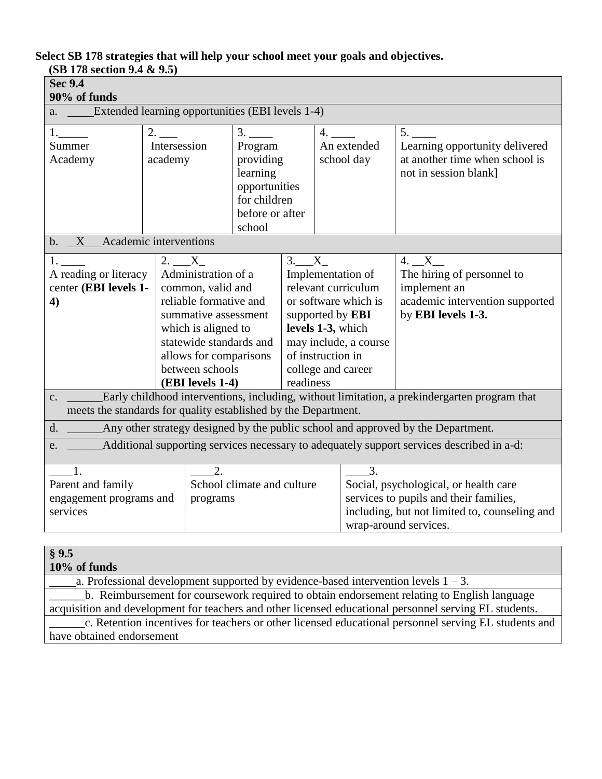## **Select SB 178 strategies that will help your school meet your goals and objectives.**

| (SB 178 section 9.4 & 9.5)                                                                                                                                                      |                                                                                                                                                                                                                 |                                                                                                                                                                                                                                                                                                                                                                                                                             |                                                                                                      |  |                                                                                                                   |                           |                                                                                                 |
|---------------------------------------------------------------------------------------------------------------------------------------------------------------------------------|-----------------------------------------------------------------------------------------------------------------------------------------------------------------------------------------------------------------|-----------------------------------------------------------------------------------------------------------------------------------------------------------------------------------------------------------------------------------------------------------------------------------------------------------------------------------------------------------------------------------------------------------------------------|------------------------------------------------------------------------------------------------------|--|-------------------------------------------------------------------------------------------------------------------|---------------------------|-------------------------------------------------------------------------------------------------|
| <b>Sec 9.4</b><br>90% of funds                                                                                                                                                  |                                                                                                                                                                                                                 |                                                                                                                                                                                                                                                                                                                                                                                                                             |                                                                                                      |  |                                                                                                                   |                           |                                                                                                 |
| <b>Extended learning opportunities (EBI levels 1-4)</b><br>a.                                                                                                                   |                                                                                                                                                                                                                 |                                                                                                                                                                                                                                                                                                                                                                                                                             |                                                                                                      |  |                                                                                                                   |                           |                                                                                                 |
| 1.<br>Summer<br>Academy                                                                                                                                                         | $2.$ $\_\_$<br>Intersession<br>academy                                                                                                                                                                          |                                                                                                                                                                                                                                                                                                                                                                                                                             | 3.<br>Program<br>providing<br>learning<br>opportunities<br>for children<br>before or after<br>school |  | 4.                                                                                                                | An extended<br>school day | 5.<br>Learning opportunity delivered<br>at another time when school is<br>not in session blank] |
| b. X Academic interventions                                                                                                                                                     |                                                                                                                                                                                                                 |                                                                                                                                                                                                                                                                                                                                                                                                                             |                                                                                                      |  |                                                                                                                   |                           |                                                                                                 |
| 1.<br>A reading or literacy<br>center (EBI levels 1-<br>4)                                                                                                                      |                                                                                                                                                                                                                 | 3. X<br>2. X<br>Administration of a<br>Implementation of<br>common, valid and<br>relevant curriculum<br>reliable formative and<br>or software which is<br>summative assessment<br>supported by EBI<br>which is aligned to<br>levels 1-3, which<br>statewide standards and<br>may include, a course<br>allows for comparisons<br>of instruction in<br>between schools<br>college and career<br>readiness<br>(EBI levels 1-4) |                                                                                                      |  | $4. X_{-}$<br>The hiring of personnel to<br>implement an<br>academic intervention supported<br>by EBI levels 1-3. |                           |                                                                                                 |
| Early childhood interventions, including, without limitation, a prekindergarten program that<br>$C_{\bullet}$<br>meets the standards for quality established by the Department. |                                                                                                                                                                                                                 |                                                                                                                                                                                                                                                                                                                                                                                                                             |                                                                                                      |  |                                                                                                                   |                           |                                                                                                 |
| Any other strategy designed by the public school and approved by the Department.<br>d.                                                                                          |                                                                                                                                                                                                                 |                                                                                                                                                                                                                                                                                                                                                                                                                             |                                                                                                      |  |                                                                                                                   |                           |                                                                                                 |
| Additional supporting services necessary to adequately support services described in a-d:<br>e.                                                                                 |                                                                                                                                                                                                                 |                                                                                                                                                                                                                                                                                                                                                                                                                             |                                                                                                      |  |                                                                                                                   |                           |                                                                                                 |
| $\overline{1}$ .<br>Parent and family<br>engagement programs and<br>services                                                                                                    | 2.<br>3.<br>School climate and culture<br>Social, psychological, or health care<br>services to pupils and their families,<br>programs<br>including, but not limited to, counseling and<br>wrap-around services. |                                                                                                                                                                                                                                                                                                                                                                                                                             |                                                                                                      |  |                                                                                                                   |                           |                                                                                                 |
| § 9.5                                                                                                                                                                           |                                                                                                                                                                                                                 |                                                                                                                                                                                                                                                                                                                                                                                                                             |                                                                                                      |  |                                                                                                                   |                           |                                                                                                 |

| $8\,$ $9.5$                                                                                            |
|--------------------------------------------------------------------------------------------------------|
| 10% of funds                                                                                           |
| a. Professional development supported by evidence-based intervention levels $1 - 3$ .                  |
| b. Reimbursement for coursework required to obtain endorsement relating to English language            |
| acquisition and development for teachers and other licensed educational personnel serving EL students. |
| c. Retention incentives for teachers or other licensed educational personnel serving EL students and   |
| have obtained endorsement                                                                              |
|                                                                                                        |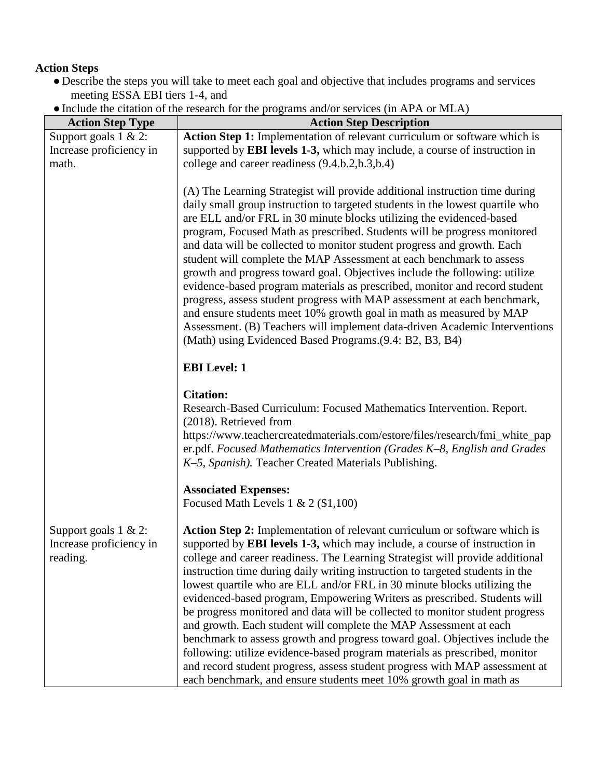# **Action Steps**

- Describe the steps you will take to meet each goal and objective that includes programs and services meeting ESSA EBI tiers 1-4, and
- ●Include the citation of the research for the programs and/or services (in APA or MLA)

| <b>Action Step Type</b>                                         | <b>Action Step Description</b>                                                                                                                                                                                                                                                                                                                                                                                                                                                                                                                                                                                                                                                                                                                                                                                                                                                                                                                                    |
|-----------------------------------------------------------------|-------------------------------------------------------------------------------------------------------------------------------------------------------------------------------------------------------------------------------------------------------------------------------------------------------------------------------------------------------------------------------------------------------------------------------------------------------------------------------------------------------------------------------------------------------------------------------------------------------------------------------------------------------------------------------------------------------------------------------------------------------------------------------------------------------------------------------------------------------------------------------------------------------------------------------------------------------------------|
| Support goals $1 \& 2$ :                                        | Action Step 1: Implementation of relevant curriculum or software which is                                                                                                                                                                                                                                                                                                                                                                                                                                                                                                                                                                                                                                                                                                                                                                                                                                                                                         |
| Increase proficiency in                                         | supported by <b>EBI</b> levels 1-3, which may include, a course of instruction in                                                                                                                                                                                                                                                                                                                                                                                                                                                                                                                                                                                                                                                                                                                                                                                                                                                                                 |
| math.                                                           | college and career readiness (9.4.b.2,b.3,b.4)                                                                                                                                                                                                                                                                                                                                                                                                                                                                                                                                                                                                                                                                                                                                                                                                                                                                                                                    |
|                                                                 | (A) The Learning Strategist will provide additional instruction time during<br>daily small group instruction to targeted students in the lowest quartile who<br>are ELL and/or FRL in 30 minute blocks utilizing the evidenced-based<br>program, Focused Math as prescribed. Students will be progress monitored<br>and data will be collected to monitor student progress and growth. Each<br>student will complete the MAP Assessment at each benchmark to assess<br>growth and progress toward goal. Objectives include the following: utilize<br>evidence-based program materials as prescribed, monitor and record student<br>progress, assess student progress with MAP assessment at each benchmark,<br>and ensure students meet 10% growth goal in math as measured by MAP<br>Assessment. (B) Teachers will implement data-driven Academic Interventions<br>(Math) using Evidenced Based Programs. (9.4: B2, B3, B4)                                      |
|                                                                 | <b>EBI</b> Level: 1                                                                                                                                                                                                                                                                                                                                                                                                                                                                                                                                                                                                                                                                                                                                                                                                                                                                                                                                               |
|                                                                 | <b>Citation:</b><br>Research-Based Curriculum: Focused Mathematics Intervention. Report.<br>(2018). Retrieved from<br>https://www.teachercreatedmaterials.com/estore/files/research/fmi_white_pap<br>er.pdf. Focused Mathematics Intervention (Grades K-8, English and Grades<br>K-5, Spanish). Teacher Created Materials Publishing.                                                                                                                                                                                                                                                                                                                                                                                                                                                                                                                                                                                                                             |
|                                                                 | <b>Associated Expenses:</b><br>Focused Math Levels $1 & 2 (1,100)$                                                                                                                                                                                                                                                                                                                                                                                                                                                                                                                                                                                                                                                                                                                                                                                                                                                                                                |
| Support goals $1 \& 2$ :<br>Increase proficiency in<br>reading. | Action Step 2: Implementation of relevant curriculum or software which is<br>supported by <b>EBI levels 1-3</b> , which may include, a course of instruction in<br>college and career readiness. The Learning Strategist will provide additional<br>instruction time during daily writing instruction to targeted students in the<br>lowest quartile who are ELL and/or FRL in 30 minute blocks utilizing the<br>evidenced-based program, Empowering Writers as prescribed. Students will<br>be progress monitored and data will be collected to monitor student progress<br>and growth. Each student will complete the MAP Assessment at each<br>benchmark to assess growth and progress toward goal. Objectives include the<br>following: utilize evidence-based program materials as prescribed, monitor<br>and record student progress, assess student progress with MAP assessment at<br>each benchmark, and ensure students meet 10% growth goal in math as |